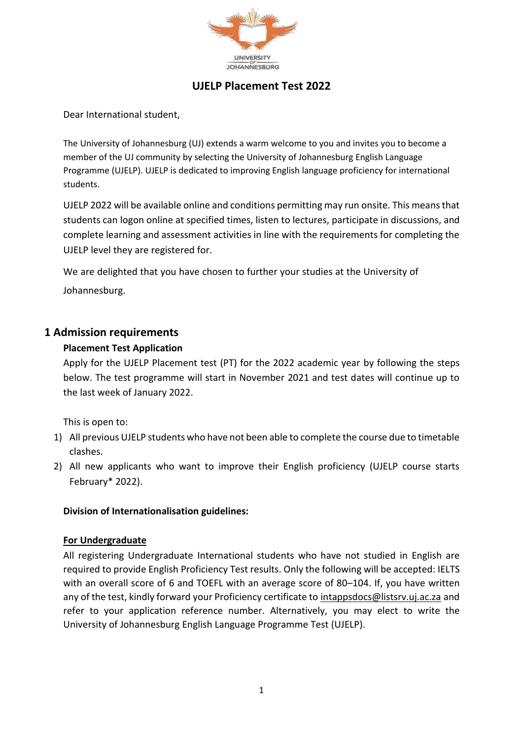

# **UJELP Placement Test 2022**

Dear International student,

The University of Johannesburg (UJ) extends a warm welcome to you and invites you to become a member of the UJ community by selecting the University of Johannesburg English Language Programme (UJELP). UJELP is dedicated to improving English language proficiency for international students.

UJELP 2022 will be available online and conditions permitting may run onsite. This means that students can logon online at specified times, listen to lectures, participate in discussions, and complete learning and assessment activities in line with the requirements for completing the UJELP level they are registered for.

We are delighted that you have chosen to further your studies at the University of Johannesburg.

### **1 Admission requirements**

#### **Placement Test Application**

Apply for the UJELP Placement test (PT) for the 2022 academic year by following the steps below. The test programme will start in November 2021 and test dates will continue up to the last week of January 2022.

This is open to:

- 1) All previous UJELP students who have not been able to complete the course due to timetable clashes.
- 2) All new applicants who want to improve their English proficiency (UJELP course starts February\* 2022).

### **Division of Internationalisation guidelines:**

#### **For Undergraduate**

All registering Undergraduate International students who have not studied in English are required to provide English Proficiency Test results. Only the following will be accepted: IELTS with an overall score of 6 and TOEFL with an average score of 80–104. If, you have written any of the test, kindly forward your Proficiency certificate to [intappsdocs@listsrv.uj.ac.za](mailto:intappsdocs@listsrv.uj.ac.za) and refer to your application reference number. Alternatively, you may elect to write the University of Johannesburg English Language Programme Test (UJELP).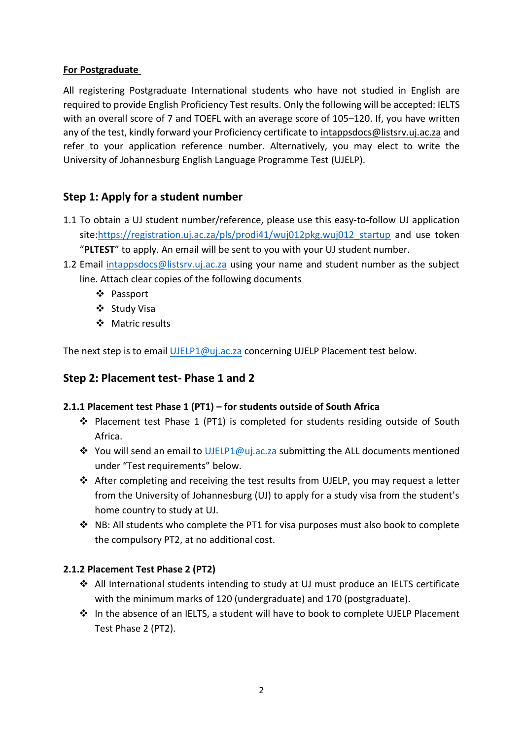### **For Postgraduate**

All registering Postgraduate International students who have not studied in English are required to provide English Proficiency Test results. Only the following will be accepted: IELTS with an overall score of 7 and TOEFL with an average score of 105–120. If, you have written any of the test, kindly forward your Proficiency certificate to [intappsdocs@listsrv.uj.ac.za](mailto:intappsdocs@listsrv.uj.ac.za) and refer to your application reference number. Alternatively, you may elect to write the University of Johannesburg English Language Programme Test (UJELP).

# **Step 1: Apply for a student number**

- 1.1 To obtain a UJ student number/reference, please use this easy-to-follow UJ application site:https://registration.uj.ac.za/pls/prodi41/wuj012pkg.wuj012 startup and use token "**PLTEST**" to apply. An email will be sent to you with your UJ student number.
- 1.2 Email [intappsdocs@listsrv.uj.ac.za](mailto:intappsdocs@listsrv.uj.ac.za) using your name and student number as the subject line. Attach clear copies of the following documents
	- Passport
	- ❖ Study Visa
	- Matric results

The next step is to email [UJELP1@uj.ac.za](mailto:UJELP1@uj.ac.za) concerning UJELP Placement test below.

### **Step 2: Placement test- Phase 1 and 2**

### **2.1.1 Placement test Phase 1 (PT1) – for students outside of South Africa**

- Placement test Phase 1 (PT1) is completed for students residing outside of South Africa.
- ◆ You will send an email to [UJELP1@uj.ac.za](mailto:UJELP1@uj.ac.za) submitting the ALL documents mentioned under "Test requirements" below.
- After completing and receiving the test results from UJELP, you may request a letter from the University of Johannesburg (UJ) to apply for a study visa from the student's home country to study at UJ.
- \* NB: All students who complete the PT1 for visa purposes must also book to complete the compulsory PT2, at no additional cost.

### **2.1.2 Placement Test Phase 2 (PT2)**

- All International students intending to study at UJ must produce an IELTS certificate with the minimum marks of 120 (undergraduate) and 170 (postgraduate).
- In the absence of an IELTS, a student will have to book to complete UJELP Placement Test Phase 2 (PT2).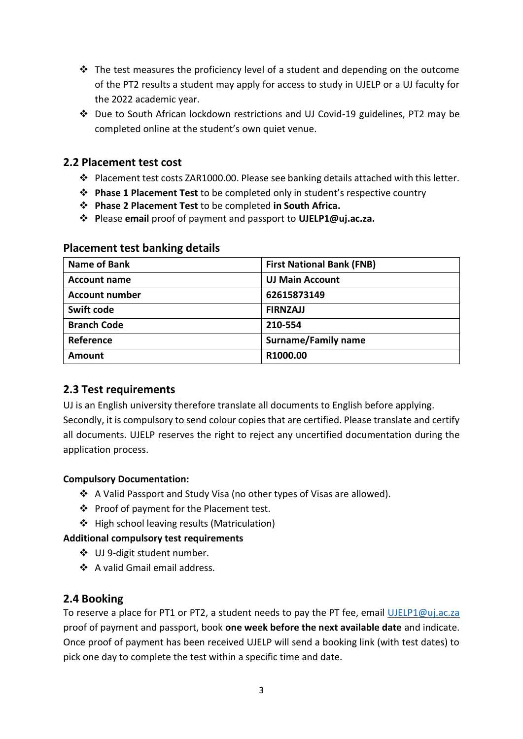- $\div$  The test measures the proficiency level of a student and depending on the outcome of the PT2 results a student may apply for access to study in UJELP or a UJ faculty for the 2022 academic year.
- Due to South African lockdown restrictions and UJ Covid-19 guidelines, PT2 may be completed online at the student's own quiet venue.

## **2.2 Placement test cost**

- Placement test costs ZAR1000.00. Please see banking details attached with this letter.
- **Phase 1 Placement Test** to be completed only in student's respective country
- **Phase 2 Placement Test** to be completed **in South Africa.**
- **P**lease **email** proof of payment and passport to **UJELP1@uj.ac.za.**

| Name of Bank          | <b>First National Bank (FNB)</b> |  |
|-----------------------|----------------------------------|--|
| <b>Account name</b>   | <b>UJ Main Account</b>           |  |
| <b>Account number</b> | 62615873149                      |  |
| Swift code            | <b>FIRNZAJJ</b>                  |  |
| <b>Branch Code</b>    | 210-554                          |  |
| Reference             | <b>Surname/Family name</b>       |  |
| <b>Amount</b>         | R1000.00                         |  |

### **Placement test banking details**

# **2.3 Test requirements**

UJ is an English university therefore translate all documents to English before applying. Secondly, it is compulsory to send colour copies that are certified. Please translate and certify all documents. UJELP reserves the right to reject any uncertified documentation during the application process.

### **Compulsory Documentation:**

- A Valid Passport and Study Visa (no other types of Visas are allowed).
- ❖ Proof of payment for the Placement test.
- ❖ High school leaving results (Matriculation)

### **Additional compulsory test requirements**

- UJ 9-digit student number.
- A valid Gmail email address.

# **2.4 Booking**

To reserve a place for PT1 or PT2, a student needs to pay the PT fee, email [UJELP1@uj.ac.za](mailto:UJELP1@uj.ac.za) proof of payment and passport, book **one week before the next available date** and indicate. Once proof of payment has been received UJELP will send a booking link (with test dates) to pick one day to complete the test within a specific time and date.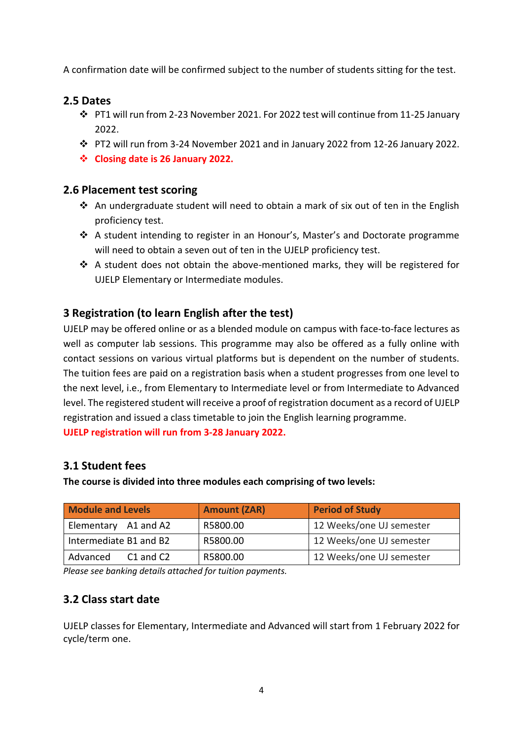A confirmation date will be confirmed subject to the number of students sitting for the test.

# **2.5 Dates**

- PT1 will run from 2-23 November 2021. For 2022 test will continue from 11-25 January 2022.
- PT2 will run from 3-24 November 2021 and in January 2022 from 12-26 January 2022.
- **Closing date is 26 January 2022.**

## **2.6 Placement test scoring**

- $\cdot$  An undergraduate student will need to obtain a mark of six out of ten in the English proficiency test.
- A student intending to register in an Honour's, Master's and Doctorate programme will need to obtain a seven out of ten in the UJELP proficiency test.
- $\cdot \cdot$  A student does not obtain the above-mentioned marks, they will be registered for UJELP Elementary or Intermediate modules.

# **3 Registration (to learn English after the test)**

UJELP may be offered online or as a blended module on campus with face-to-face lectures as well as computer lab sessions. This programme may also be offered as a fully online with contact sessions on various virtual platforms but is dependent on the number of students. The tuition fees are paid on a registration basis when a student progresses from one level to the next level, i.e., from Elementary to Intermediate level or from Intermediate to Advanced level. The registered student will receive a proof of registration document as a record of UJELP registration and issued a class timetable to join the English learning programme. **UJELP registration will run from 3-28 January 2022.**

# **3.1 Student fees**

**The course is divided into three modules each comprising of two levels:**

| <b>Module and Levels</b>  | <b>Amount (ZAR)</b> | <b>Period of Study</b>   |
|---------------------------|---------------------|--------------------------|
| Elementary A1 and A2      | R5800.00            | 12 Weeks/one UJ semester |
| Intermediate B1 and B2    | R5800.00            | 12 Weeks/one UJ semester |
| Advanced<br>$C1$ and $C2$ | R5800.00            | 12 Weeks/one UJ semester |

*Please see banking details attached for tuition payments.*

# **3.2 Class start date**

UJELP classes for Elementary, Intermediate and Advanced will start from 1 February 2022 for cycle/term one.